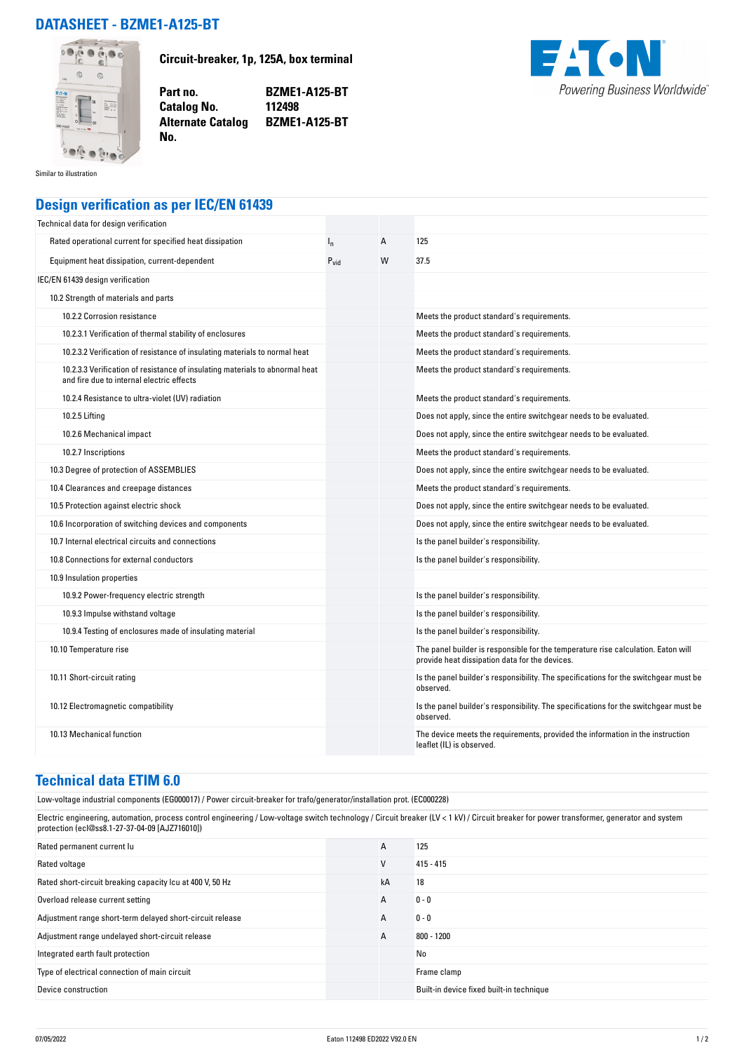## **DATASHEET - BZME1-A125-BT**



**Circuit-breaker, 1p, 125A, box terminal**

**Part no. BZME1-A125-BT Alternate Catalog BZME1-A125-BT**



Similar to illustration

## **Design verification as per IEC/EN 61439**

**Catalog No.** 

**No.** 

| Technical data for design verification                                                                                    |                  |   |                                                                                                                                     |
|---------------------------------------------------------------------------------------------------------------------------|------------------|---|-------------------------------------------------------------------------------------------------------------------------------------|
| Rated operational current for specified heat dissipation                                                                  | $I_{n}$          | A | 125                                                                                                                                 |
| Equipment heat dissipation, current-dependent                                                                             | $P_{\text{vid}}$ | W | 37.5                                                                                                                                |
| IEC/EN 61439 design verification                                                                                          |                  |   |                                                                                                                                     |
| 10.2 Strength of materials and parts                                                                                      |                  |   |                                                                                                                                     |
| 10.2.2 Corrosion resistance                                                                                               |                  |   | Meets the product standard's requirements.                                                                                          |
| 10.2.3.1 Verification of thermal stability of enclosures                                                                  |                  |   | Meets the product standard's requirements.                                                                                          |
| 10.2.3.2 Verification of resistance of insulating materials to normal heat                                                |                  |   | Meets the product standard's requirements.                                                                                          |
| 10.2.3.3 Verification of resistance of insulating materials to abnormal heat<br>and fire due to internal electric effects |                  |   | Meets the product standard's requirements.                                                                                          |
| 10.2.4 Resistance to ultra-violet (UV) radiation                                                                          |                  |   | Meets the product standard's requirements.                                                                                          |
| 10.2.5 Lifting                                                                                                            |                  |   | Does not apply, since the entire switchgear needs to be evaluated.                                                                  |
| 10.2.6 Mechanical impact                                                                                                  |                  |   | Does not apply, since the entire switchgear needs to be evaluated.                                                                  |
| 10.2.7 Inscriptions                                                                                                       |                  |   | Meets the product standard's requirements.                                                                                          |
| 10.3 Degree of protection of ASSEMBLIES                                                                                   |                  |   | Does not apply, since the entire switchgear needs to be evaluated.                                                                  |
| 10.4 Clearances and creepage distances                                                                                    |                  |   | Meets the product standard's requirements.                                                                                          |
| 10.5 Protection against electric shock                                                                                    |                  |   | Does not apply, since the entire switchgear needs to be evaluated.                                                                  |
| 10.6 Incorporation of switching devices and components                                                                    |                  |   | Does not apply, since the entire switchgear needs to be evaluated.                                                                  |
| 10.7 Internal electrical circuits and connections                                                                         |                  |   | Is the panel builder's responsibility.                                                                                              |
| 10.8 Connections for external conductors                                                                                  |                  |   | Is the panel builder's responsibility.                                                                                              |
| 10.9 Insulation properties                                                                                                |                  |   |                                                                                                                                     |
| 10.9.2 Power-frequency electric strength                                                                                  |                  |   | Is the panel builder's responsibility.                                                                                              |
| 10.9.3 Impulse withstand voltage                                                                                          |                  |   | Is the panel builder's responsibility.                                                                                              |
| 10.9.4 Testing of enclosures made of insulating material                                                                  |                  |   | Is the panel builder's responsibility.                                                                                              |
| 10.10 Temperature rise                                                                                                    |                  |   | The panel builder is responsible for the temperature rise calculation. Eaton will<br>provide heat dissipation data for the devices. |
| 10.11 Short-circuit rating                                                                                                |                  |   | Is the panel builder's responsibility. The specifications for the switchgear must be<br>observed.                                   |
| 10.12 Electromagnetic compatibility                                                                                       |                  |   | Is the panel builder's responsibility. The specifications for the switchgear must be<br>observed.                                   |
| 10.13 Mechanical function                                                                                                 |                  |   | The device meets the requirements, provided the information in the instruction<br>leaflet (IL) is observed.                         |

## **Technical data ETIM 6.0**

Low-voltage industrial components (EG000017) / Power circuit-breaker for trafo/generator/installation prot. (EC000228)

Electric engineering, automation, process control engineering / Low-voltage switch technology / Circuit breaker (LV < 1 kV) / Circuit breaker for power transformer, generator and system protection (ecl@ss8.1-27-37-04-09 [AJZ716010])

| Rated permanent current lu                                | A  | 125                                      |
|-----------------------------------------------------------|----|------------------------------------------|
| Rated voltage                                             | v  | $415 - 415$                              |
| Rated short-circuit breaking capacity Icu at 400 V, 50 Hz | kA | 18                                       |
| Overload release current setting                          | A  | $0 - 0$                                  |
| Adjustment range short-term delayed short-circuit release | A  | $0 - 0$                                  |
| Adjustment range undelayed short-circuit release          | A  | $800 - 1200$                             |
| Integrated earth fault protection                         |    | No                                       |
| Type of electrical connection of main circuit             |    | Frame clamp                              |
| Device construction                                       |    | Built-in device fixed built-in technique |